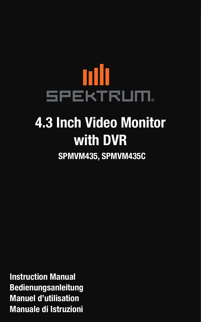# mlı SPEKTRUM **4.3 Inch Video Monitor with DVR SPMVM435, SPMVM435C**

**Instruction Manual Bedienungsanleitung Manuel d'utilisation Manuale di Istruzioni**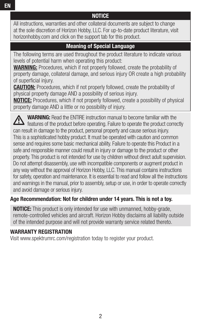## **NOTICE**

All instructions, warranties and other collateral documents are subject to change at the sole discretion of Horizon Hobby, LLC. For up-to-date product literature, visit horizonhobby.com and click on the support tab for this product.

## **Meaning of Special Language**

The following terms are used throughout the product literature to indicate various levels of potential harm when operating this product:

**WARNING:** Procedures, which if not properly followed, create the probability of property damage, collateral damage, and serious injury OR create a high probability of superficial injury.

**CAUTION:** Procedures, which if not properly followed, create the probability of physical property damage AND a possibility of serious injury.

**NOTICE:** Procedures, which if not properly followed, create a possibility of physical property damage AND a little or no possibility of injury.

**WARNING:** Read the ENTIRE instruction manual to become familiar with the features of the product before operating. Failure to operate the product correctly can result in damage to the product, personal property and cause serious injury. This is a sophisticated hobby product. It must be operated with caution and common sense and requires some basic mechanical ability. Failure to operate this Product in a safe and responsible manner could result in injury or damage to the product or other property. This product is not intended for use by children without direct adult supervision. Do not attempt disassembly, use with incompatible components or augment product in any way without the approval of Horizon Hobby, LLC. This manual contains instructions for safety, operation and maintenance. It is essential to read and follow all the instructions and warnings in the manual, prior to assembly, setup or use, in order to operate correctly and avoid damage or serious injury.

### **Age Recommendation: Not for children under 14 years. This is not a toy.**

**NOTICE:** This product is only intended for use with unmanned, hobby-grade, remote-controlled vehicles and aircraft. Horizon Hobby disclaims all liability outside of the intended purpose and will not provide warranty service related thereto.

### **WARRANTY REGISTRATION**

Visit www.spektrumrc.com/registration today to register your product.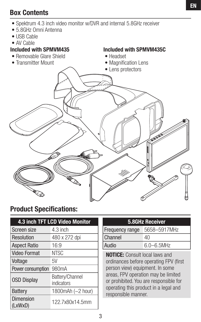## **EN**

## **Box Contents**

- Spektrum 4.3 inch video monitor w/DVR and internal 5.8GHz receiver
- 5.8GHz Omni Antenna
- USB Cable
- AV Cable

## **Included with SPMVM435**

• Removable Glare Shield



**Included with SPMVM435C** 

## **Product Specifications:**

| 4.3 inch TFT LCD Video Monitor |                               |  |  |  |
|--------------------------------|-------------------------------|--|--|--|
| Screen size                    | 4.3 inch                      |  |  |  |
| Resolution                     | 480 x 272 dpi                 |  |  |  |
| <b>Aspect Ratio</b>            | 16:9                          |  |  |  |
| <b>Video Format</b>            | <b>NTSC</b>                   |  |  |  |
| Voltage                        | 5V                            |  |  |  |
| Power consumption              | 980 <sub>m</sub> A            |  |  |  |
| <b>OSD Display</b>             | Battery/Channel<br>indicators |  |  |  |
| Battery                        | 1800 $m$ Ah (~2 hour)         |  |  |  |
| <b>Dimension</b><br>(LxWxD)    | 122.7x80x14.5mm               |  |  |  |

| 5.8GHz Receiver |
|-----------------|
|                 |

| Frequency range 5658-5917MHz |                 |
|------------------------------|-----------------|
| Channel                      | 40              |
| Audio                        | $6.0 - 6.5$ MHz |

**NOTICE:** Consult local laws and ordinances before operating FPV (first person view) equipment. In some areas, FPV operation may be limited or prohibited. You are responsible for operating this product in a legal and responsible manner.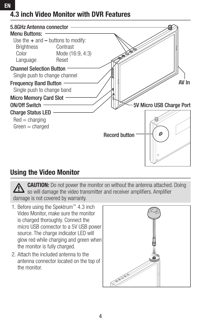# **4.3 inch Video Monitor with DVR Features**



## **Using the Video Monitor**

**CAUTION:** Do not power the monitor on without the antenna attached. Doing  $\cdot$  so will damage the video transmitter and receiver amplifiers. Amplifier damage is not covered by warranty.

- 1. Before using the Spektrum™ 4.3 inch Video Monitor, make sure the monitor is charged thoroughly. Connect the micro USB connector to a 5V USB power source. The charge indicator LED will glow red while charging and green when the monitor is fully charged.
- 2. Attach the included antenna to the antenna connector located on the top of the monitor.

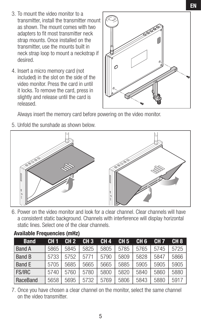- 3. To mount the video monitor to a transmitter, install the transmitter mount as shown. The mount comes with two adapters to fit most transmitter neck strap mounts. Once installed on the transmitter, use the mounts built in neck strap loop to mount a neckstrap if desired.
- 4. Insert a micro memory card (not included) in the slot on the side of the video monitor. Press the card in until it locks. To remove the card, press in slightly and release until the card is released.



Always insert the memory card before powering on the video monitor.

5. Unfold the sunshade as shown below.



6. Power on the video monitor and look for a clear channel. Clear channels will have a consistent static background. Channels with interference will display horizontal static lines. Select one of the clear channels.

| <b>Band</b>   | CH <sub>1</sub> | CH <sub>2</sub> | CH <sub>3</sub> | CH <sub>4</sub> | CH <sub>5</sub> | CH <sub>6</sub> | CH <sub>7</sub> | CH <sub>8</sub> |
|---------------|-----------------|-----------------|-----------------|-----------------|-----------------|-----------------|-----------------|-----------------|
| <b>Band A</b> | 5865            | 5845            | 5825            | 5805            | 5785            | 5765            | 5745            | 5725            |
| <b>Band B</b> | 5733            | 5752            | 5771            | 5790            | 5809            | 5828            | 5847            | 5866            |
| Band E        | 5705            | 5685            | 5665            | 5665            | 5885            | 5905            | 5905            | 5905            |
| <b>FS/IRC</b> | 5740            | 5760            | 5780            | 5800            | 5820            | 5840            | 5860            | 5880            |
| RaceBand      | 5658            | 5695            | 5732            | 5769            | 5806            | 5843            | 5880            | 5917            |

#### **Available Frequencies (mHz)**

7. Once you have chosen a clear channel on the monitor, select the same channel on the video transmitter.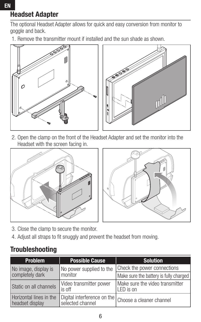# **Headset Adapter**

**EN**

The optional Headset Adapter allows for quick and easy conversion from monitor to goggle and back.

1. Remove the transmitter mount if installed and the sun shade as shown.





2. Open the clamp on the front of the Headset Adapter and set the monitor into the Headset with the screen facing in.





- 3. Close the clamp to secure the monitor.
- 4. Adjust all straps to fit snuggly and prevent the headset from moving.

## **Troubleshooting**

| <b>Problem</b>                             | <b>Possible Cause</b>             | <b>Solution</b>                                        |  |
|--------------------------------------------|-----------------------------------|--------------------------------------------------------|--|
| No image, display is                       | No power supplied to the          | Check the power connections                            |  |
| completely dark                            | monitor                           | Make sure the battery is fully charged                 |  |
| Static on all channels                     | Video transmitter power<br>is off | Make sure the video transmitter<br>LED is on           |  |
| Horizontal lines in the<br>headset display | selected channel                  | Digital interference on the   Choose a cleaner channel |  |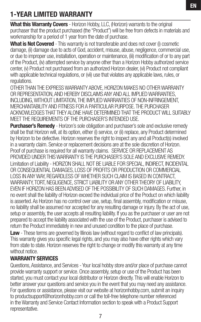# **1-YEAR LIMITED WARRANTY**

**What this Warranty Covers** - Horizon Hobby, LLC, (Horizon) warrants to the original purchaser that the product purchased (the "Product") will be free from defects in materials and workmanship for a period of 1 year from the date of purchase.

**What is Not Covered** - This warranty is not transferable and does not cover (i) cosmetic damage, (ii) damage due to acts of God, accident, misuse, abuse, negligence, commercial use, or due to improper use, installation, operation or maintenance, (iii) modifi cation of or to any part of the Product, (iv) attempted service by anyone other than a Horizon Hobby authorized service center, (v) Product not purchased from an authorized Horizon dealer, (vi) Product not compliant with applicable technical regulations, or (vii) use that violates any applicable laws, rules, or regulations.

OTHER THAN THE EXPRESS WARRANTY ABOVE, HORIZON MAKES NO OTHER WARRANTY OR REPRESENTATION, AND HEREBY DISCLAIMS ANY AND ALL IMPLIED WARRANTIES, INCLUDING, WITHOUT LIMITATION, THE IMPLIED WARRANTIES OF NON-INFRINGEMENT, MERCHANTABILITY AND FITNESS FOR A PARTICULAR PURPOSE. THE PURCHASER ACKNOWLEDGES THAT THEY ALONE HAVE DETERMINED THAT THE PRODUCT WILL SUITABLY MEET THE REQUIREMENTS OF THE PURCHASER'S INTENDED USE.

**Purchaser's Remedy** - Horizon's sole obligation and purchaser's sole and exclusive remedy shall be that Horizon will, at its option, either (i) service, or (ii) replace, any Product determined by Horizon to be defective. Horizon reserves the right to inspect any and all Product(s) involved in a warranty claim. Service or replacement decisions are at the sole discretion of Horizon. Proof of purchase is required for all warranty claims. SERVICE OR REPLACEMENT AS PROVIDED UNDER THIS WARRANTY IS THE PURCHASER'S SOLE AND EXCLUSIVE REMEDY. Limitation of Liability - HORIZON SHALL NOT BE LIABLE FOR SPECIAL, INDIRECT, INCIDENTAL OR CONSEQUENTIAL DAMAGES, LOSS OF PROFITS OR PRODUCTION OR COMMERCIAL LOSS IN ANY WAY, REGARDLESS OF WHETHER SUCH CLAIM IS BASED IN CONTRACT, WARRANTY, TORT, NEGLIGENCE, STRICT LIABILITY OR ANY OTHER THEORY OF LIABILITY, EVEN IF HORIZON HAS BEEN ADVISED OF THE POSSIBILITY OF SUCH DAMAGES. Further, in no event shall the liability of Horizon exceed the individual price of the Product on which liability is asserted. As Horizon has no control over use, setup, final assembly, modification or misuse. no liability shall be assumed nor accepted for any resulting damage or injury. By the act of use, setup or assembly, the user accepts all resulting liability. If you as the purchaser or user are not prepared to accept the liability associated with the use of the Product, purchaser is advised to return the Product immediately in new and unused condition to the place of purchase.

**Law** - These terms are governed by Illinois law (without regard to conflict of law principals). This warranty gives you specific legal rights, and you may also have other rights which vary from state to state. Horizon reserves the right to change or modify this warranty at any time without notice.

#### **WARRANTY SERVICES**

Questions, Assistance, and Services - Your local hobby store and/or place of purchase cannot provide warranty support or service. Once assembly, setup or use of the Product has been started, you must contact your local distributor or Horizon directly. This will enable Horizon to better answer your questions and service you in the event that you may need any assistance. For questions or assistance, please visit our website at horizonhobby.com, submit an inquiry to productsupport@horizonhobby.com or call the toll-free telephone number referenced in the Warranty and Service Contact Information section to speak with a Product Support representative.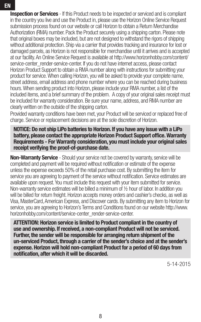**Inspection or Services** - If this Product needs to be inspected or serviced and is compliant in the country you live and use the Product in, please use the Horizon Online Service Request submission process found on our website or call Horizon to obtain a Return Merchandise Authorization (RMA) number. Pack the Product securely using a shipping carton. Please note that original boxes may be included, but are not designed to withstand the rigors of shipping without additional protection. Ship via a carrier that provides tracking and insurance for lost or damaged parcels, as Horizon is not responsible for merchandise until it arrives and is accepted at our facility. An Online Service Request is available at http://www.horizonhobby.com/content/ service-center\_render-service-center. If you do not have internet access, please contact Horizon Product Support to obtain a RMA number along with instructions for submitting your product for service. When calling Horizon, you will be asked to provide your complete name, street address, email address and phone number where you can be reached during business hours. When sending product into Horizon, please include your RMA number, a list of the included items, and a brief summary of the problem. A copy of your original sales receipt must be included for warranty consideration. Be sure your name, address, and RMA number are clearly written on the outside of the shipping carton.

Provided warranty conditions have been met, your Product will be serviced or replaced free of charge. Service or replacement decisions are at the sole discretion of Horizon.

**NOTICE: Do not ship LiPo batteries to Horizon. If you have any issue with a LiPo battery, please contact the appropriate Horizon Product Support office. Warranty Requirements - For Warranty consideration, you must include your original sales receipt verifying the proof-of-purchase date.** 

**Non-Warranty Service** - Should your service not be covered by warranty, service will be completed and payment will be required without notification or estimate of the expense unless the expense exceeds 50% of the retail purchase cost. By submitting the item for service you are agreeing to payment of the service without notification. Service estimates are available upon request. You must include this request with your item submitted for service. Non-warranty service estimates will be billed a minimum of ½ hour of labor. In addition you will be billed for return freight. Horizon accepts money orders and cashier's checks, as well as Visa, MasterCard, American Express, and Discover cards. By submitting any item to Horizon for service, you are agreeing to Horizon's Terms and Conditions found on our website http://www. horizonhobby.com/content/service-center\_render-service-center.

**ATTENTION: Horizon service is limited to Product compliant in the country of use and ownership. If received, a non-compliant Product will not be serviced. Further, the sender will be responsible for arranging return shipment of the un-serviced Product, through a carrier of the sender's choice and at the sender's expense. Horizon will hold non-compliant Product for a period of 60 days from notifi cation, after which it will be discarded.**

5-14-2015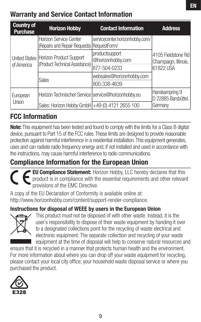## **Warranty and Service Contact Information**

| <b>Country of</b><br><b>Purchase</b> | <b>Horizon Hobby</b>                                                    | <b>Contact Information</b>                | <b>Address</b>                                          |  |
|--------------------------------------|-------------------------------------------------------------------------|-------------------------------------------|---------------------------------------------------------|--|
|                                      | Horizon Service Center<br>(Repairs and Repair Requests)   RequestForm/  | servicecenter.horizonhobby.com/           | 4105 Fieldstone Rd<br>Champaign, Illinois,<br>61822 USA |  |
| of America                           | United States Horizon Product Support<br>(Product Technical Assistance) | productsupport<br>@horizonhobby.com       |                                                         |  |
|                                      |                                                                         | 877-504-0233<br>websales@horizonhobby.com |                                                         |  |
|                                      | <b>Sales</b>                                                            | 800-338-4639                              |                                                         |  |
| European<br>Union                    | Horizon Technischer Service service@horizonhobby.eu                     |                                           | Hanskampring 9<br>D 22885 Barsbüttel,                   |  |
|                                      | Sales: Horizon Hobby GmbH +49 (0) 4121 2655 100                         |                                           | Germany                                                 |  |

## **FCC Information**

**Note:** This equipment has been tested and found to comply with the limits for a Class B digital device, pursuant to Part 15 of the FCC rules. These limits are designed to provide reasonable protection against harmful interference in a residential installation. This equipment generates, uses and can radiate radio frequency energy and, if not installed and used in accordance with the instructions, may cause harmful interference to radio communications.

# **Compliance Information for the European Union**

**EU Compliance Statement:** Horizon Hobby, LLC hereby declares that this product is in compliance with the essential requirements and other relevant provisions of the EMC Directive.

A copy of the EU Declaration of Conformity is available online at: http://www.horizonhobby.com/content/support-render-compliance.

## **Instructions for disposal of WEEE by users in the European Union**



This product must not be disposed of with other waste. Instead, it is the user's responsibility to dispose of their waste equipment by handing it over to a designated collections point for the recycling of waste electrical and electronic equipment. The separate collection and recycling of your waste equipment at the time of disposal will help to conserve natural resources and

ensure that it is recycled in a manner that protects human health and the environment. For more information about where you can drop off your waste equipment for recycling, please contact your local city office, your household waste disposal service or where you purchased the product.